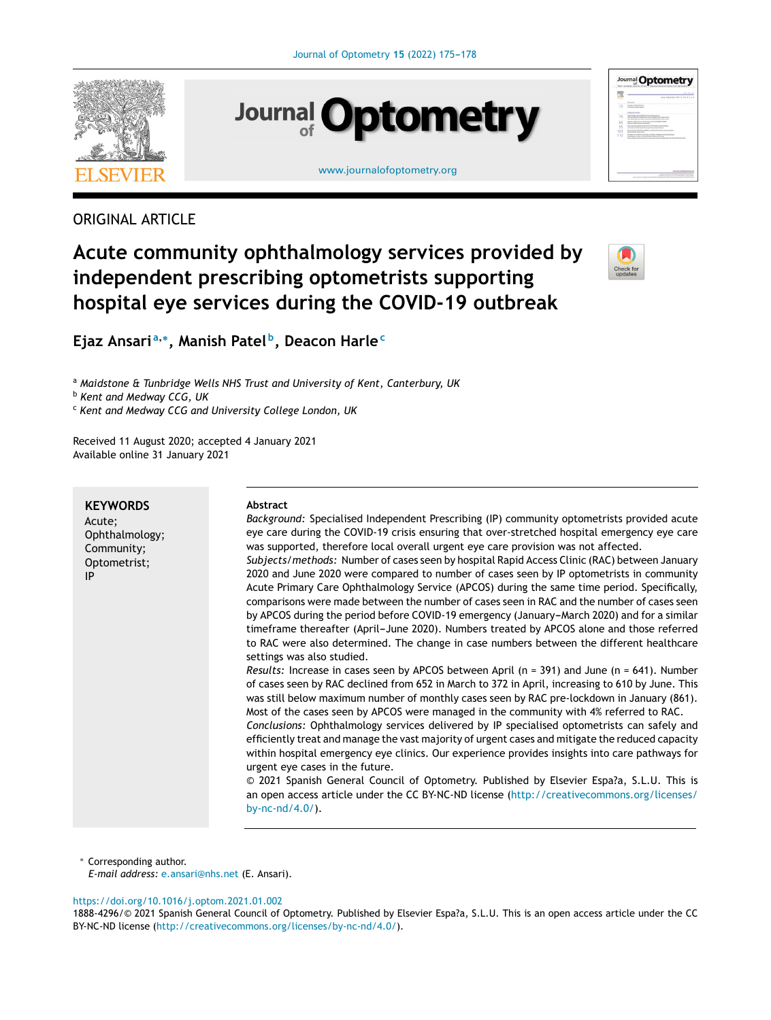

# **Journal Optometry**

[www.journalofoptometry.org](http://www.journalofoptometry.org)



### ORIGINAL ARTICLE

## **Acute community ophthalmology services provided by independent prescribing optometrists supporting hospital eye services during the COVID-19 outbreak**



**Ejaz Ansari <sup>a</sup>**,<sup>∗</sup> **, Manish Patel <sup>b</sup> , Deacon Harle<sup>c</sup>**

<sup>a</sup> *Maidstone & Tunbridge Wells NHS Trust and University of Kent, Canterbury, UK*

<sup>b</sup> *Kent and Medway CCG, UK*

<sup>c</sup> *Kent and Medway CCG and University College London, UK*

Received 11 August 2020; accepted 4 January 2021 Available online 31 January 2021

| Abstract<br>Background: Specialised Independent Prescribing (IP) community optometrists provided acute<br>eye care during the COVID-19 crisis ensuring that over-stretched hospital emergency eye care<br>was supported, therefore local overall urgent eye care provision was not affected.<br>Subjects/methods: Number of cases seen by hospital Rapid Access Clinic (RAC) between January<br>2020 and June 2020 were compared to number of cases seen by IP optometrists in community<br>Acute Primary Care Ophthalmology Service (APCOS) during the same time period. Specifically,<br>comparisons were made between the number of cases seen in RAC and the number of cases seen<br>by APCOS during the period before COVID-19 emergency (January-March 2020) and for a similar<br>timeframe thereafter (April-June 2020). Numbers treated by APCOS alone and those referred<br>to RAC were also determined. The change in case numbers between the different healthcare<br>settings was also studied.<br><i>Results:</i> Increase in cases seen by APCOS between April ( $n = 391$ ) and June ( $n = 641$ ). Number<br>of cases seen by RAC declined from 652 in March to 372 in April, increasing to 610 by June. This<br>was still below maximum number of monthly cases seen by RAC pre-lockdown in January (861).<br>Most of the cases seen by APCOS were managed in the community with 4% referred to RAC.<br>Conclusions: Ophthalmology services delivered by IP specialised optometrists can safely and<br>efficiently treat and manage the vast majority of urgent cases and mitigate the reduced capacity<br>within hospital emergency eye clinics. Our experience provides insights into care pathways for<br>urgent eye cases in the future.<br>© 2021 Spanish General Council of Optometry. Published by Elsevier Espa?a, S.L.U. This is |
|------------------------------------------------------------------------------------------------------------------------------------------------------------------------------------------------------------------------------------------------------------------------------------------------------------------------------------------------------------------------------------------------------------------------------------------------------------------------------------------------------------------------------------------------------------------------------------------------------------------------------------------------------------------------------------------------------------------------------------------------------------------------------------------------------------------------------------------------------------------------------------------------------------------------------------------------------------------------------------------------------------------------------------------------------------------------------------------------------------------------------------------------------------------------------------------------------------------------------------------------------------------------------------------------------------------------------------------------------------------------------------------------------------------------------------------------------------------------------------------------------------------------------------------------------------------------------------------------------------------------------------------------------------------------------------------------------------------------------------------------------------------------------------------------------------------------------------------------------------|
| an open access article under the CC BY-NC-ND license (http://creativecommons.org/licenses/<br>by-nc- $nd/4.0/$ ).                                                                                                                                                                                                                                                                                                                                                                                                                                                                                                                                                                                                                                                                                                                                                                                                                                                                                                                                                                                                                                                                                                                                                                                                                                                                                                                                                                                                                                                                                                                                                                                                                                                                                                                                          |
|                                                                                                                                                                                                                                                                                                                                                                                                                                                                                                                                                                                                                                                                                                                                                                                                                                                                                                                                                                                                                                                                                                                                                                                                                                                                                                                                                                                                                                                                                                                                                                                                                                                                                                                                                                                                                                                            |

<sup>∗</sup> Corresponding author.

*E-mail address:* [e.ansari@nhs.net](mailto:e.ansari@nhs.net) (E. Ansari).

<https://doi.org/10.1016/j.optom.2021.01.002>

1888-4296/© 2021 Spanish General Council of Optometry. Published by Elsevier Espa?a, S.L.U. This is an open access article under the CC BY-NC-ND license (<http://creativecommons.org/licenses/by-nc-nd/4.0/>).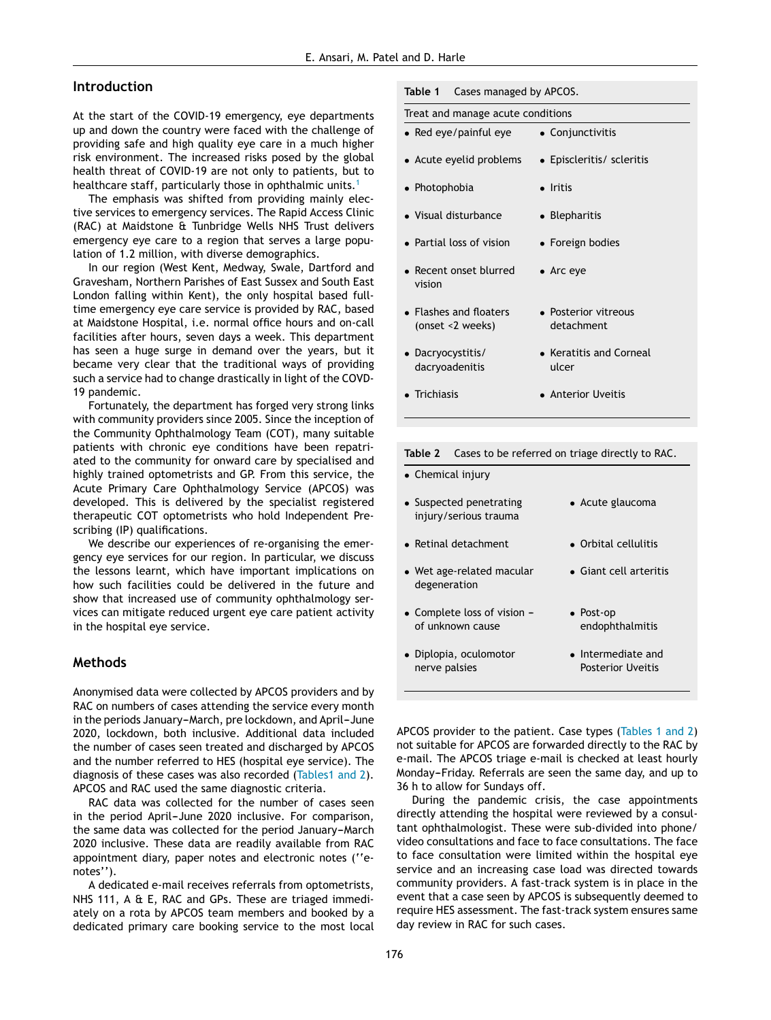#### **Introduction**

At the start of the COVID-19 emergency, eye departments up and down the country were faced with the challenge of providing safe and high quality eye care in a much higher risk environment. The increased risks posed by the global health threat of COVID-19 are not only to patients, but to healthcare staff, particularly those in ophthalmic units.<sup>[1](#page-3-0)</sup>

The emphasis was shifted from providing mainly elective services to emergency services. The Rapid Access Clinic (RAC) at Maidstone & Tunbridge Wells NHS Trust delivers emergency eye care to a region that serves a large population of 1.2 million, with diverse demographics.

In our region (West Kent, Medway, Swale, Dartford and Gravesham, Northern Parishes of East Sussex and South East London falling within Kent), the only hospital based fulltime emergency eye care service is provided by RAC, based at Maidstone Hospital, i.e. normal office hours and on-call facilities after hours, seven days a week. This department has seen a huge surge in demand over the years, but it became very clear that the traditional ways of providing such a service had to change drastically in light of the COVD-19 pandemic.

Fortunately, the department has forged very strong links with community providers since 2005. Since the inception of the Community Ophthalmology Team (COT), many suitable patients with chronic eye conditions have been repatriated to the community for onward care by specialised and highly trained optometrists and GP. From this service, the Acute Primary Care Ophthalmology Service (APCOS) was developed. This is delivered by the specialist registered therapeutic COT optometrists who hold Independent Prescribing (IP) qualifications.

We describe our experiences of re-organising the emergency eye services for our region. In particular, we discuss the lessons learnt, which have important implications on how such facilities could be delivered in the future and show that increased use of community ophthalmology services can mitigate reduced urgent eye care patient activity in the hospital eye service.

#### **Methods**

Anonymised data were collected by APCOS providers and by RAC on numbers of cases attending the service every month in the periods January-March, pre lockdown, and April-June 2020, lockdown, both inclusive. Additional data included the number of cases seen treated and discharged by APCOS and the number referred to HES (hospital eye service). The diagnosis of these cases was also recorded (Tables1 and 2). APCOS and RAC used the same diagnostic criteria.

RAC data was collected for the number of cases seen in the period April-June 2020 inclusive. For comparison, the same data was collected for the period January-March 2020 inclusive. These data are readily available from RAC appointment diary, paper notes and electronic notes (''enotes'').

A dedicated e-mail receives referrals from optometrists, NHS 111, A & E, RAC and GPs. These are triaged immediately on a rota by APCOS team members and booked by a dedicated primary care booking service to the most local

176

| Table 1 | Cases managed by APCOS. |  |
|---------|-------------------------|--|
|---------|-------------------------|--|

| Treat and manage acute conditions          |                                    |
|--------------------------------------------|------------------------------------|
| • Red eye/painful eye                      | • Conjunctivitis                   |
| • Acute eyelid problems                    | • Episcleritis/ scleritis          |
| • Photophobia                              | $\bullet$ Iritis                   |
| • Visual disturbance                       | • Blepharitis                      |
| • Partial loss of vision                   | • Foreign bodies                   |
| • Recent onset blurred<br>vision           | $\bullet$ Arc eye                  |
| • Flashes and floaters<br>(onset <2 weeks) | • Posterior vitreous<br>detachment |
| • Dacryocystitis/<br>dacryoadenitis        | • Keratitis and Corneal<br>ulcer   |
| $\blacksquare$ Trichiasis                  | • Anterior Uveitis                 |
|                                            |                                    |

| $\bullet$ chemical injury                         |                                                        |
|---------------------------------------------------|--------------------------------------------------------|
| • Suspected penetrating<br>injury/serious trauma  | • Acute glaucoma                                       |
| • Retinal detachment                              | • Orbital cellulitis                                   |
| • Wet age-related macular<br>degeneration         | • Giant cell arteritis                                 |
| • Complete loss of vision $-$<br>of unknown cause | $\bullet$ Post-op<br>endophthalmitis                   |
| • Diplopia, oculomotor<br>nerve palsies           | $\bullet$ Intermediate and<br><b>Posterior Uveitis</b> |

**Table 2** Cases to be referred on triage directly to RAC.

• Chemical injury

APCOS provider to the patient. Case types (Tables 1 and 2) not suitable for APCOS are forwarded directly to the RAC by e-mail. The APCOS triage e-mail is checked at least hourly Monday-Friday. Referrals are seen the same day, and up to 36 h to allow for Sundays off.

During the pandemic crisis, the case appointments directly attending the hospital were reviewed by a consultant ophthalmologist. These were sub-divided into phone/ video consultations and face to face consultations. The face to face consultation were limited within the hospital eye service and an increasing case load was directed towards community providers. A fast-track system is in place in the event that a case seen by APCOS is subsequently deemed to require HES assessment. The fast-track system ensures same day review in RAC for such cases.

nerve palsies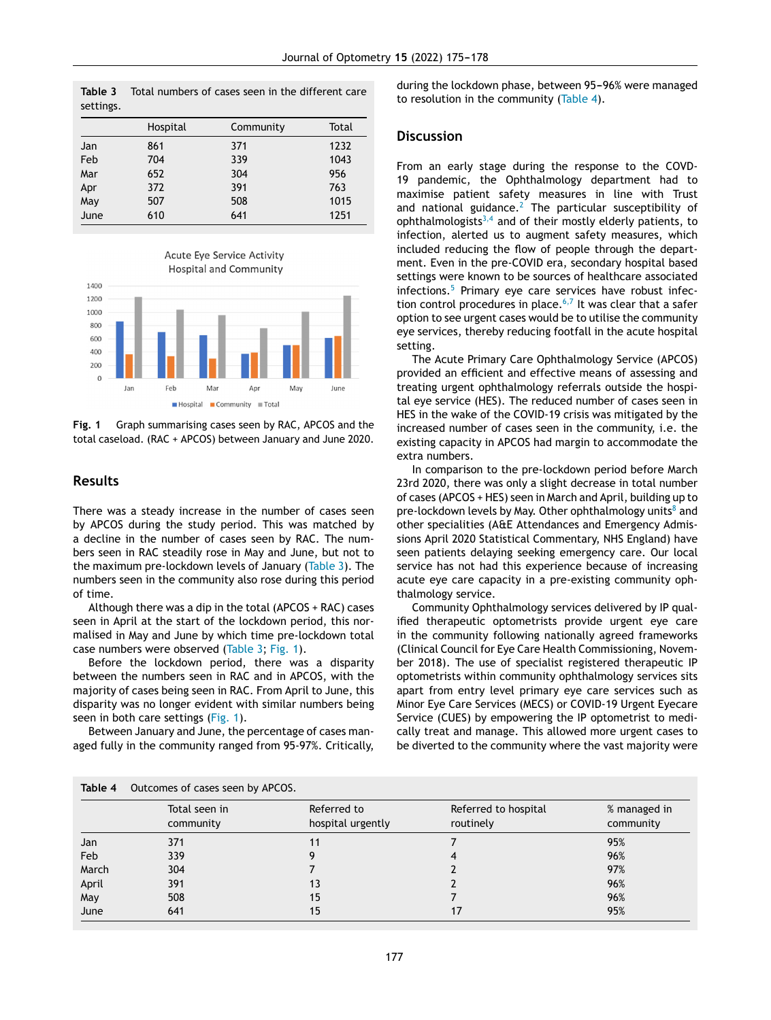<span id="page-2-0"></span>**Table 3** Total numbers of cases seen in the different care settings.

|      | Hospital | Community | Total |
|------|----------|-----------|-------|
| Jan  | 861      | 371       | 1232  |
| Feb  | 704      | 339       | 1043  |
| Mar  | 652      | 304       | 956   |
| Apr  | 372      | 391       | 763   |
| May  | 507      | 508       | 1015  |
| June | 610      | 641       | 1251  |



**Fig. 1** Graph summarising cases seen by RAC, APCOS and the total caseload. (RAC + APCOS) between January and June 2020.

#### **Results**

There was a steady increase in the number of cases seen by APCOS during the study period. This was matched by a decline in the number of cases seen by RAC. The numbers seen in RAC steadily rose in May and June, but not to the maximum pre-lockdown levels of January (Table 3). The numbers seen in the community also rose during this period of time.

Although there was a dip in the total (APCOS + RAC) cases seen in April at the start of the lockdown period, this normalised in May and June by which time pre-lockdown total case numbers were observed (Table 3; Fig. 1).

Before the lockdown period, there was a disparity between the numbers seen in RAC and in APCOS, with the majority of cases being seen in RAC. From April to June, this disparity was no longer evident with similar numbers being seen in both care settings (Fig. 1).

Between January and June, the percentage of cases managed fully in the community ranged from 95-97%. Critically,

during the lockdown phase, between 95-96% were managed to resolution in the community (Table 4).

#### **Discussion**

From an early stage during the response to the COVD-19 pandemic, the Ophthalmology department had to maximise patient safety measures in line with Trust and national guidance.<sup>[2](#page-3-0)</sup> The particular susceptibility of ophthalmologists<sup>[3,4](#page-3-0)</sup> and of their mostly elderly patients, to infection, alerted us to augment safety measures, which included reducing the flow of people through the department. Even in the pre-COVID era, secondary hospital based settings were known to be sources of healthcare associated infections.<sup>[5](#page-3-0)</sup> Primary eye care services have robust infection control procedures in place. $6,7$  It was clear that a safer option to see urgent cases would be to utilise the community eye services, thereby reducing footfall in the acute hospital setting.

The Acute Primary Care Ophthalmology Service (APCOS) provided an efficient and effective means of assessing and treating urgent ophthalmology referrals outside the hospital eye service (HES). The reduced number of cases seen in HES in the wake of the COVID-19 crisis was mitigated by the increased number of cases seen in the community, i.e. the existing capacity in APCOS had margin to accommodate the extra numbers.

In comparison to the pre-lockdown period before March 23rd 2020, there was only a slight decrease in total number of cases (APCOS + HES) seen in March and April, building up to pre-lockdown levels by M[a](#page-3-0)y. Other ophthalmology units<sup>8</sup> and other specialities (A&E Attendances and Emergency Admissions April 2020 Statistical Commentary, NHS England) have seen patients delaying seeking emergency care. Our local service has not had this experience because of increasing acute eye care capacity in a pre-existing community ophthalmology service.

Community Ophthalmology services delivered by IP qualified therapeutic optometrists provide urgent eye care in the community following nationally agreed frameworks (Clinical Council for Eye Care Health Commissioning, November 2018). The use of specialist registered therapeutic IP optometrists within community ophthalmology services sits apart from entry level primary eye care services such as Minor Eye Care Services (MECS) or COVID-19 Urgent Eyecare Service (CUES) by empowering the IP optometrist to medically treat and manage. This allowed more urgent cases to be diverted to the community where the vast majority were

|       | Total seen in<br>community | Referred to<br>hospital urgently | Referred to hospital<br>routinely | % managed in<br>community |
|-------|----------------------------|----------------------------------|-----------------------------------|---------------------------|
| Jan   | 371                        | 11                               |                                   | 95%                       |
| Feb   | 339                        |                                  |                                   | 96%                       |
| March | 304                        |                                  |                                   | 97%                       |
| April | 391                        | 13                               |                                   | 96%                       |
| May   | 508                        | 15                               |                                   | 96%                       |
| June  | 641                        | 15                               |                                   | 95%                       |

**Table 4** Outcomes of cases seen by APCOS.